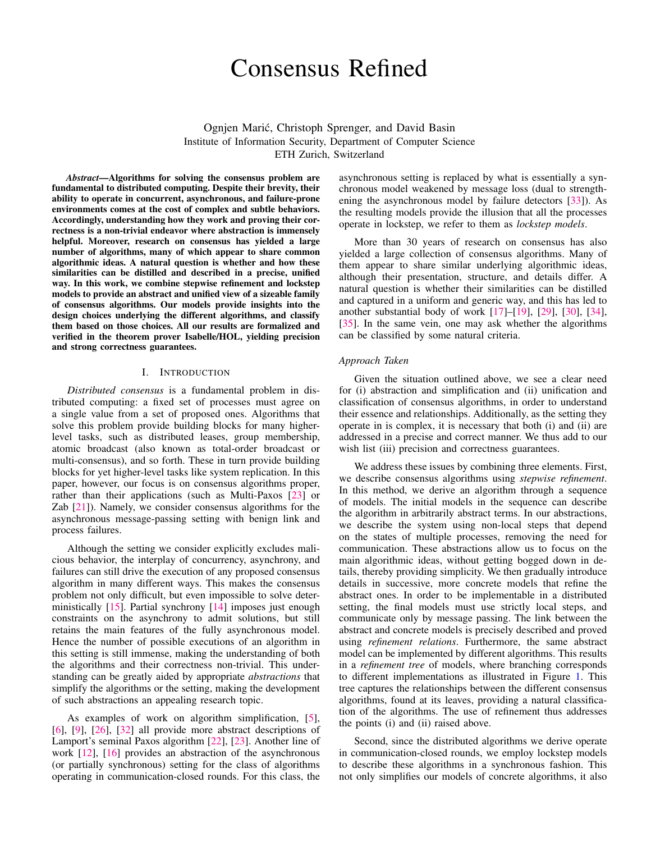# Consensus Refined

Ognjen Maric, Christoph Sprenger, and David Basin ´ Institute of Information Security, Department of Computer Science ETH Zurich, Switzerland

*Abstract*—Algorithms for solving the consensus problem are fundamental to distributed computing. Despite their brevity, their ability to operate in concurrent, asynchronous, and failure-prone environments comes at the cost of complex and subtle behaviors. Accordingly, understanding how they work and proving their correctness is a non-trivial endeavor where abstraction is immensely helpful. Moreover, research on consensus has yielded a large number of algorithms, many of which appear to share common algorithmic ideas. A natural question is whether and how these similarities can be distilled and described in a precise, unified way. In this work, we combine stepwise refinement and lockstep models to provide an abstract and unified view of a sizeable family of consensus algorithms. Our models provide insights into the design choices underlying the different algorithms, and classify them based on those choices. All our results are formalized and verified in the theorem prover Isabelle/HOL, yielding precision and strong correctness guarantees.

#### I. INTRODUCTION

*Distributed consensus* is a fundamental problem in distributed computing: a fixed set of processes must agree on a single value from a set of proposed ones. Algorithms that solve this problem provide building blocks for many higherlevel tasks, such as distributed leases, group membership, atomic broadcast (also known as total-order broadcast or multi-consensus), and so forth. These in turn provide building blocks for yet higher-level tasks like system replication. In this paper, however, our focus is on consensus algorithms proper, rather than their applications (such as Multi-Paxos [\[23\]](#page-11-0) or Zab [\[21\]](#page-11-1)). Namely, we consider consensus algorithms for the asynchronous message-passing setting with benign link and process failures.

Although the setting we consider explicitly excludes malicious behavior, the interplay of concurrency, asynchrony, and failures can still drive the execution of any proposed consensus algorithm in many different ways. This makes the consensus problem not only difficult, but even impossible to solve deterministically [\[15\]](#page-11-2). Partial synchrony [\[14\]](#page-11-3) imposes just enough constraints on the asynchrony to admit solutions, but still retains the main features of the fully asynchronous model. Hence the number of possible executions of an algorithm in this setting is still immense, making the understanding of both the algorithms and their correctness non-trivial. This understanding can be greatly aided by appropriate *abstractions* that simplify the algorithms or the setting, making the development of such abstractions an appealing research topic.

As examples of work on algorithm simplification, [\[5\]](#page-11-4), [\[6\]](#page-11-5), [\[9\]](#page-11-6), [\[26\]](#page-11-7), [\[32\]](#page-11-8) all provide more abstract descriptions of Lamport's seminal Paxos algorithm [\[22\]](#page-11-9), [\[23\]](#page-11-0). Another line of work [\[12\]](#page-11-10), [\[16\]](#page-11-11) provides an abstraction of the asynchronous (or partially synchronous) setting for the class of algorithms operating in communication-closed rounds. For this class, the asynchronous setting is replaced by what is essentially a synchronous model weakened by message loss (dual to strengthening the asynchronous model by failure detectors [\[33\]](#page-11-12)). As the resulting models provide the illusion that all the processes operate in lockstep, we refer to them as *lockstep models*.

More than 30 years of research on consensus has also yielded a large collection of consensus algorithms. Many of them appear to share similar underlying algorithmic ideas, although their presentation, structure, and details differ. A natural question is whether their similarities can be distilled and captured in a uniform and generic way, and this has led to another substantial body of work [\[17\]](#page-11-13)–[\[19\]](#page-11-14), [\[29\]](#page-11-15), [\[30\]](#page-11-16), [\[34\]](#page-11-17), [\[35\]](#page-11-18). In the same vein, one may ask whether the algorithms can be classified by some natural criteria.

#### *Approach Taken*

Given the situation outlined above, we see a clear need for (i) abstraction and simplification and (ii) unification and classification of consensus algorithms, in order to understand their essence and relationships. Additionally, as the setting they operate in is complex, it is necessary that both (i) and (ii) are addressed in a precise and correct manner. We thus add to our wish list (iii) precision and correctness guarantees.

We address these issues by combining three elements. First, we describe consensus algorithms using *stepwise refinement*. In this method, we derive an algorithm through a sequence of models. The initial models in the sequence can describe the algorithm in arbitrarily abstract terms. In our abstractions, we describe the system using non-local steps that depend on the states of multiple processes, removing the need for communication. These abstractions allow us to focus on the main algorithmic ideas, without getting bogged down in details, thereby providing simplicity. We then gradually introduce details in successive, more concrete models that refine the abstract ones. In order to be implementable in a distributed setting, the final models must use strictly local steps, and communicate only by message passing. The link between the abstract and concrete models is precisely described and proved using *refinement relations*. Furthermore, the same abstract model can be implemented by different algorithms. This results in a *refinement tree* of models, where branching corresponds to different implementations as illustrated in Figure [1.](#page-1-0) This tree captures the relationships between the different consensus algorithms, found at its leaves, providing a natural classification of the algorithms. The use of refinement thus addresses the points (i) and (ii) raised above.

Second, since the distributed algorithms we derive operate in communication-closed rounds, we employ lockstep models to describe these algorithms in a synchronous fashion. This not only simplifies our models of concrete algorithms, it also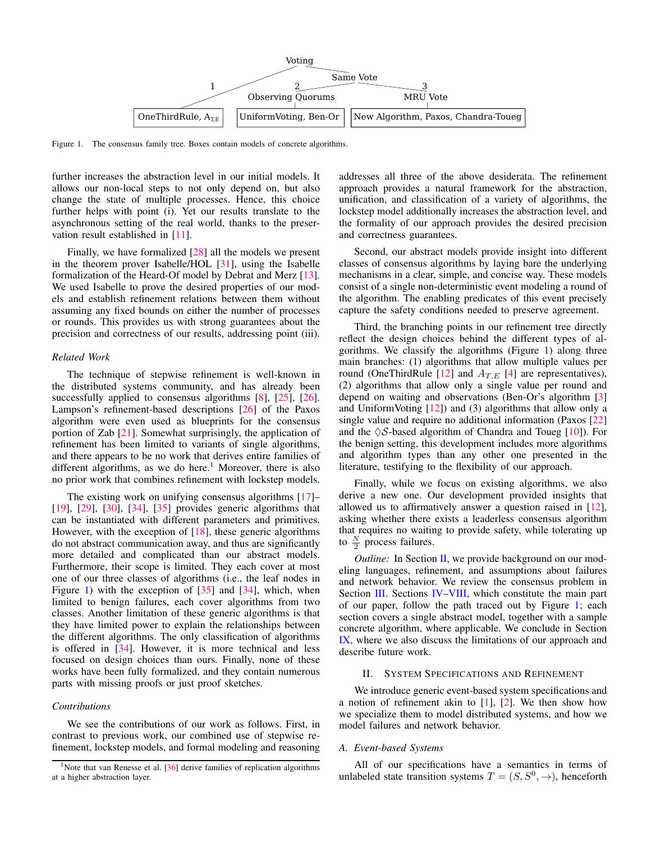

<span id="page-1-0"></span>Figure 1. The consensus family tree. Boxes contain models of concrete algorithms.

further increases the abstraction level in our initial models. It allows our non-local steps to not only depend on, but also change the state of multiple processes. Hence, this choice further helps with point (i). Yet our results translate to the asynchronous setting of the real world, thanks to the preservation result established in [\[11\]](#page-11-19).

Finally, we have formalized [\[28\]](#page-11-20) all the models we present in the theorem prover Isabelle/HOL [\[31\]](#page-11-21), using the Isabelle formalization of the Heard-Of model by Debrat and Merz [\[13\]](#page-11-22). We used Isabelle to prove the desired properties of our models and establish refinement relations between them without assuming any fixed bounds on either the number of processes or rounds. This provides us with strong guarantees about the precision and correctness of our results, addressing point (iii).

# *Related Work*

The technique of stepwise refinement is well-known in the distributed systems community, and has already been successfully applied to consensus algorithms [\[8\]](#page-11-23), [\[25\]](#page-11-24), [\[26\]](#page-11-7). Lampson's refinement-based descriptions [\[26\]](#page-11-7) of the Paxos algorithm were even used as blueprints for the consensus portion of Zab [\[21\]](#page-11-1). Somewhat surprisingly, the application of refinement has been limited to variants of single algorithms, and there appears to be no work that derives entire families of different algorithms, as we do here.<sup>[1](#page-1-1)</sup> Moreover, there is also no prior work that combines refinement with lockstep models.

The existing work on unifying consensus algorithms [\[17\]](#page-11-13)– [\[19\]](#page-11-14), [\[29\]](#page-11-15), [\[30\]](#page-11-16), [\[34\]](#page-11-17), [\[35\]](#page-11-18) provides generic algorithms that can be instantiated with different parameters and primitives. However, with the exception of [\[18\]](#page-11-25), these generic algorithms do not abstract communication away, and thus are significantly more detailed and complicated than our abstract models. Furthermore, their scope is limited. They each cover at most one of our three classes of algorithms (i.e., the leaf nodes in Figure [1\)](#page-1-0) with the exception of [\[35\]](#page-11-18) and [\[34\]](#page-11-17), which, when limited to benign failures, each cover algorithms from two classes. Another limitation of these generic algorithms is that they have limited power to explain the relationships between the different algorithms. The only classification of algorithms is offered in [\[34\]](#page-11-17). However, it is more technical and less focused on design choices than ours. Finally, none of these works have been fully formalized, and they contain numerous parts with missing proofs or just proof sketches.

## *Contributions*

We see the contributions of our work as follows. First, in contrast to previous work, our combined use of stepwise refinement, lockstep models, and formal modeling and reasoning

addresses all three of the above desiderata. The refinement approach provides a natural framework for the abstraction, unification, and classification of a variety of algorithms, the lockstep model additionally increases the abstraction level, and the formality of our approach provides the desired precision and correctness guarantees.

Second, our abstract models provide insight into different classes of consensus algorithms by laying bare the underlying mechanisms in a clear, simple, and concise way. These models consist of a single non-deterministic event modeling a round of the algorithm. The enabling predicates of this event precisely capture the safety conditions needed to preserve agreement.

Third, the branching points in our refinement tree directly reflect the design choices behind the different types of algorithms. We classify the algorithms (Figure [1\)](#page-1-0) along three main branches: (1) algorithms that allow multiple values per round (OneThirdRule [\[12\]](#page-11-10) and  $A_{T,E}$  [\[4\]](#page-11-27) are representatives), (2) algorithms that allow only a single value per round and depend on waiting and observations (Ben-Or's algorithm [\[3\]](#page-11-28) and UniformVoting [\[12\]](#page-11-10)) and (3) algorithms that allow only a single value and require no additional information (Paxos [\[22\]](#page-11-9) and the  $\Diamond S$ -based algorithm of Chandra and Toueg [\[10\]](#page-11-29)). For the benign setting, this development includes more algorithms and algorithm types than any other one presented in the literature, testifying to the flexibility of our approach.

Finally, while we focus on existing algorithms, we also derive a new one. Our development provided insights that allowed us to affirmatively answer a question raised in [\[12\]](#page-11-10), asking whether there exists a leaderless consensus algorithm that requires no waiting to provide safety, while tolerating up to  $\frac{N}{2}$  process failures.

*Outline:* In Section [II,](#page-1-2) we provide background on our modeling languages, refinement, and assumptions about failures and network behavior. We review the consensus problem in Section [III.](#page-3-0) Sections [IV–](#page-4-0)[VIII,](#page-9-0) which constitute the main part of our paper, follow the path traced out by Figure [1;](#page-1-0) each section covers a single abstract model, together with a sample concrete algorithm, where applicable. We conclude in Section [IX,](#page-11-30) where we also discuss the limitations of our approach and describe future work.

## <span id="page-1-2"></span>II. SYSTEM SPECIFICATIONS AND REFINEMENT

We introduce generic event-based system specifications and a notion of refinement akin to [\[1\]](#page-11-31), [\[2\]](#page-11-32). We then show how we specialize them to model distributed systems, and how we model failures and network behavior.

## <span id="page-1-3"></span>*A. Event-based Systems*

All of our specifications have a semantics in terms of unlabeled state transition systems  $T = (S, S^0, \rightarrow)$ , henceforth

<span id="page-1-1"></span><sup>&</sup>lt;sup>1</sup>Note that van Renesse et al. [\[36\]](#page-11-26) derive families of replication algorithms at a higher abstraction layer.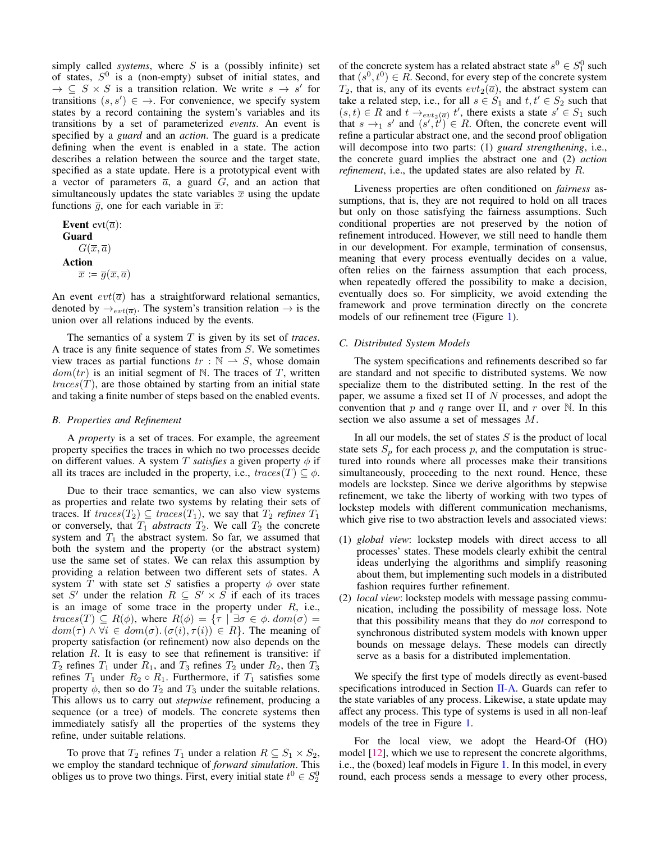simply called *systems*, where S is a (possibly infinite) set of states,  $S^0$  is a (non-empty) subset of initial states, and  $\rightarrow \subseteq S \times S$  is a transition relation. We write  $s \rightarrow s'$  for transitions  $(s, s') \in \rightarrow$ . For convenience, we specify system states by a record containing the system's variables and its transitions by a set of parameterized *events*. An event is specified by a *guard* and an *action*. The guard is a predicate defining when the event is enabled in a state. The action describes a relation between the source and the target state, specified as a state update. Here is a prototypical event with a vector of parameters  $\overline{a}$ , a guard G, and an action that simultaneously updates the state variables  $\bar{x}$  using the update functions  $\overline{q}$ , one for each variable in  $\overline{x}$ :

**Event** 
$$
\text{evt}(\overline{a})
$$
:  
\n**Guard**  
\n $G(\overline{x}, \overline{a})$   
\n**Action**  
\n $\overline{x} := \overline{g}(\overline{x}, \overline{a})$ 

An event  $evt(\overline{a})$  has a straightforward relational semantics, denoted by  $\rightarrow_{evt(\overline{a})}$ . The system's transition relation  $\rightarrow$  is the union over all relations induced by the events.

The semantics of a system T is given by its set of *traces*. A trace is any finite sequence of states from S. We sometimes view traces as partial functions  $tr : \mathbb{N} \to S$ , whose domain  $dom(tr)$  is an initial segment of N. The traces of T, written  $traces(T)$ , are those obtained by starting from an initial state and taking a finite number of steps based on the enabled events.

#### <span id="page-2-0"></span>*B. Properties and Refinement*

A *property* is a set of traces. For example, the agreement property specifies the traces in which no two processes decide on different values. A system T *satisfies* a given property  $\phi$  if all its traces are included in the property, i.e.,  $traces(T) \subseteq \phi$ .

Due to their trace semantics, we can also view systems as properties and relate two systems by relating their sets of traces. If  $traces(T_2) \subseteq traces(T_1)$ , we say that  $T_2$  *refines*  $T_1$ or conversely, that  $T_1$  *abstracts*  $T_2$ . We call  $T_2$  the concrete system and  $T_1$  the abstract system. So far, we assumed that both the system and the property (or the abstract system) use the same set of states. We can relax this assumption by providing a relation between two different sets of states. A system T with state set S satisfies a property  $\phi$  over state set S' under the relation  $R \subseteq S' \times S$  if each of its traces is an image of some trace in the property under  $R$ , i.e.,  $traces(T) \subseteq R(\phi)$ , where  $R(\phi) = \{\tau \mid \exists \sigma \in \phi \ldotp dom(\sigma) =$  $dom(\tau) \wedge \forall i \in dom(\sigma)$ .  $(\sigma(i), \tau(i)) \in R$ . The meaning of property satisfaction (or refinement) now also depends on the relation  $R$ . It is easy to see that refinement is transitive: if  $T_2$  refines  $T_1$  under  $R_1$ , and  $T_3$  refines  $T_2$  under  $R_2$ , then  $T_3$ refines  $T_1$  under  $R_2 \circ R_1$ . Furthermore, if  $T_1$  satisfies some property  $\phi$ , then so do  $T_2$  and  $T_3$  under the suitable relations. This allows us to carry out *stepwise* refinement, producing a sequence (or a tree) of models. The concrete systems then immediately satisfy all the properties of the systems they refine, under suitable relations.

To prove that  $T_2$  refines  $T_1$  under a relation  $R \subseteq S_1 \times S_2$ , we employ the standard technique of *forward simulation*. This obliges us to prove two things. First, every initial state  $t^0 \in S_2^0$ 

of the concrete system has a related abstract state  $s^0 \in S_1^0$  such that  $(s^0, t^0) \in R$ . Second, for every step of the concrete system  $T_2$ , that is, any of its events  $evt_2(\overline{a})$ , the abstract system can take a related step, i.e., for all  $s \in S_1$  and  $t, t' \in S_2$  such that  $(s, t) \in R$  and  $t \rightarrow_{evt_2(\overline{a})} t'$ , there exists a state  $s' \in S_1$  such that  $s \to_1 s'$  and  $(s', \tilde{t}') \in R$ . Often, the concrete event will refine a particular abstract one, and the second proof obligation will decompose into two parts: (1) *guard strengthening*, i.e., the concrete guard implies the abstract one and (2) *action refinement*, i.e., the updated states are also related by R.

Liveness properties are often conditioned on *fairness* assumptions, that is, they are not required to hold on all traces but only on those satisfying the fairness assumptions. Such conditional properties are not preserved by the notion of refinement introduced. However, we still need to handle them in our development. For example, termination of consensus, meaning that every process eventually decides on a value, often relies on the fairness assumption that each process, when repeatedly offered the possibility to make a decision, eventually does so. For simplicity, we avoid extending the framework and prove termination directly on the concrete models of our refinement tree (Figure [1\)](#page-1-0).

#### *C. Distributed System Models*

The system specifications and refinements described so far are standard and not specific to distributed systems. We now specialize them to the distributed setting. In the rest of the paper, we assume a fixed set  $\Pi$  of N processes, and adopt the convention that p and q range over  $\Pi$ , and r over N. In this section we also assume a set of messages M.

In all our models, the set of states  $S$  is the product of local state sets  $S_p$  for each process p, and the computation is structured into rounds where all processes make their transitions simultaneously, proceeding to the next round. Hence, these models are lockstep. Since we derive algorithms by stepwise refinement, we take the liberty of working with two types of lockstep models with different communication mechanisms, which give rise to two abstraction levels and associated views:

- (1) *global view*: lockstep models with direct access to all processes' states. These models clearly exhibit the central ideas underlying the algorithms and simplify reasoning about them, but implementing such models in a distributed fashion requires further refinement.
- (2) *local view*: lockstep models with message passing communication, including the possibility of message loss. Note that this possibility means that they do *not* correspond to synchronous distributed system models with known upper bounds on message delays. These models can directly serve as a basis for a distributed implementation.

We specify the first type of models directly as event-based specifications introduced in Section [II-A.](#page-1-3) Guards can refer to the state variables of any process. Likewise, a state update may affect any process. This type of systems is used in all non-leaf models of the tree in Figure [1.](#page-1-0)

For the local view, we adopt the Heard-Of (HO) model [\[12\]](#page-11-10), which we use to represent the concrete algorithms, i.e., the (boxed) leaf models in Figure [1.](#page-1-0) In this model, in every round, each process sends a message to every other process,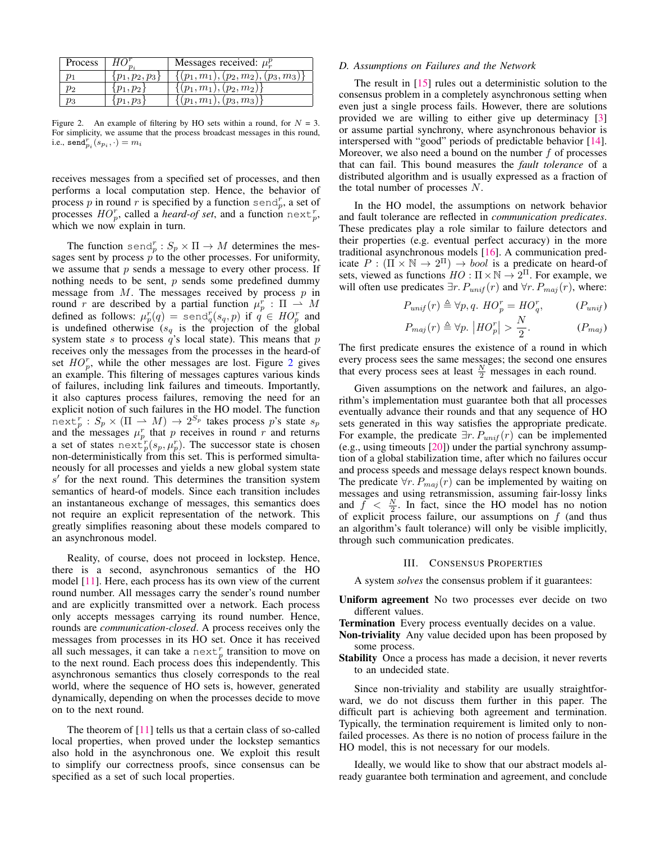| Process | HO'.                | Messages received: $\mu_r^p$         |
|---------|---------------------|--------------------------------------|
| $p_{1}$ | $\{p_1, p_2, p_3\}$ | $\{(p_1,m_1),(p_2,m_2),(p_3,m_3)\}\$ |
| $\,p_2$ | $\{p_1, p_2\}$      | $\{(p_1,m_1),(p_2,m_2)\}\$           |
| $p_{3}$ | $\{p_1, p_3\}$      | $\{(p_1,m_1),(p_3,m_3)\}\$           |

<span id="page-3-1"></span>Figure 2. An example of filtering by HO sets within a round, for  $N = 3$ . For simplicity, we assume that the process broadcast messages in this round, i.e.,  $\texttt{send}_{p_i}^r(s_{p_i}, \cdot) = m_i$ 

receives messages from a specified set of processes, and then performs a local computation step. Hence, the behavior of process p in round r is specified by a function send<sup>r</sup><sub>p</sub>, a set of processes  $HO_p^r$ , called a *heard-of set*, and a function  $\text{next}_p^r$ , which we now explain in turn.

The function send $_p^r: S_p \times \Pi \to M$  determines the messages sent by process  $\hat{p}$  to the other processes. For uniformity, we assume that  $p$  sends a message to every other process. If nothing needs to be sent,  $p$  sends some predefined dummy message from  $M$ . The messages received by process  $p$  in round r are described by a partial function  $\mu_p^r : \Pi \to M$ defined as follows:  $\mu_p^r(q) = \text{send}_q^r(s_q, p)$  if  $q \in HO_p^r$  and is undefined otherwise  $(s_q)$  is the projection of the global system state s to process  $q$ 's local state). This means that p receives only the messages from the processes in the heard-of set  $HO_p^r$ , while the other messages are lost. Figure [2](#page-3-1) gives an example. This filtering of messages captures various kinds of failures, including link failures and timeouts. Importantly, it also captures process failures, removing the need for an explicit notion of such failures in the HO model. The function  $\mathrm{next}_p^r: S_p \times (\Pi \rightharpoonup M) \rightarrow 2^{S_p}$  takes process  $p$ 's state  $s_p$ and the messages  $\mu_p^r$  that p receives in round r and returns a set of states  $\operatorname{next}_{p}^{r}(s_{p}, \mu_{p}^{r})$ . The successor state is chosen non-deterministically from this set. This is performed simultaneously for all processes and yields a new global system state  $s'$  for the next round. This determines the transition system semantics of heard-of models. Since each transition includes an instantaneous exchange of messages, this semantics does not require an explicit representation of the network. This greatly simplifies reasoning about these models compared to an asynchronous model.

Reality, of course, does not proceed in lockstep. Hence, there is a second, asynchronous semantics of the HO model [\[11\]](#page-11-19). Here, each process has its own view of the current round number. All messages carry the sender's round number and are explicitly transmitted over a network. Each process only accepts messages carrying its round number. Hence, rounds are *communication-closed*. A process receives only the messages from processes in its HO set. Once it has received all such messages, it can take a next<sup>r</sup> transition to move on to the next round. Each process does this independently. This asynchronous semantics thus closely corresponds to the real world, where the sequence of HO sets is, however, generated dynamically, depending on when the processes decide to move on to the next round.

The theorem of [\[11\]](#page-11-19) tells us that a certain class of so-called local properties, when proved under the lockstep semantics also hold in the asynchronous one. We exploit this result to simplify our correctness proofs, since consensus can be specified as a set of such local properties.

#### <span id="page-3-2"></span>*D. Assumptions on Failures and the Network*

The result in [\[15\]](#page-11-2) rules out a deterministic solution to the consensus problem in a completely asynchronous setting when even just a single process fails. However, there are solutions provided we are willing to either give up determinacy [\[3\]](#page-11-28) or assume partial synchrony, where asynchronous behavior is interspersed with "good" periods of predictable behavior [\[14\]](#page-11-3). Moreover, we also need a bound on the number  $f$  of processes that can fail. This bound measures the *fault tolerance* of a distributed algorithm and is usually expressed as a fraction of the total number of processes N.

In the HO model, the assumptions on network behavior and fault tolerance are reflected in *communication predicates*. These predicates play a role similar to failure detectors and their properties (e.g. eventual perfect accuracy) in the more traditional asynchronous models [\[16\]](#page-11-11). A communication predicate  $P : (\Pi \times \mathbb{N} \to 2^{\Pi}) \to bool$  is a predicate on heard-of sets, viewed as functions  $HO: \Pi \times \mathbb{N} \to 2^{\Pi}$ . For example, we will often use predicates  $\exists r. P_{unif}(r)$  and  $\forall r. P_{maj}(r)$ , where:

$$
P_{unif}(r) \triangleq \forall p, q. \ HO_p^r = HO_q^r, \qquad (P_{unif})
$$

$$
P_{maj}(r) \triangleq \forall p. \ \left| HO_p^r \right| > \frac{N}{2}.\tag{P_{maj}}
$$

The first predicate ensures the existence of a round in which every process sees the same messages; the second one ensures that every process sees at least  $\frac{N}{2}$  messages in each round.

Given assumptions on the network and failures, an algorithm's implementation must guarantee both that all processes eventually advance their rounds and that any sequence of HO sets generated in this way satisfies the appropriate predicate. For example, the predicate  $\exists r. P_{unif}(r)$  can be implemented (e.g., using timeouts [\[20\]](#page-11-33)) under the partial synchrony assumption of a global stabilization time, after which no failures occur and process speeds and message delays respect known bounds. The predicate  $\forall r. P_{maj}(r)$  can be implemented by waiting on messages and using retransmission, assuming fair-lossy links and  $f < \frac{N}{2}$ . In fact, since the HO model has no notion of explicit process failure, our assumptions on  $f$  (and thus an algorithm's fault tolerance) will only be visible implicitly, through such communication predicates.

#### III. CONSENSUS PROPERTIES

<span id="page-3-0"></span>A system *solves* the consensus problem if it guarantees:

- Uniform agreement No two processes ever decide on two different values.
- Termination Every process eventually decides on a value.
- Non-triviality Any value decided upon has been proposed by some process.
- Stability Once a process has made a decision, it never reverts to an undecided state.

Since non-triviality and stability are usually straightforward, we do not discuss them further in this paper. The difficult part is achieving both agreement and termination. Typically, the termination requirement is limited only to nonfailed processes. As there is no notion of process failure in the HO model, this is not necessary for our models.

Ideally, we would like to show that our abstract models already guarantee both termination and agreement, and conclude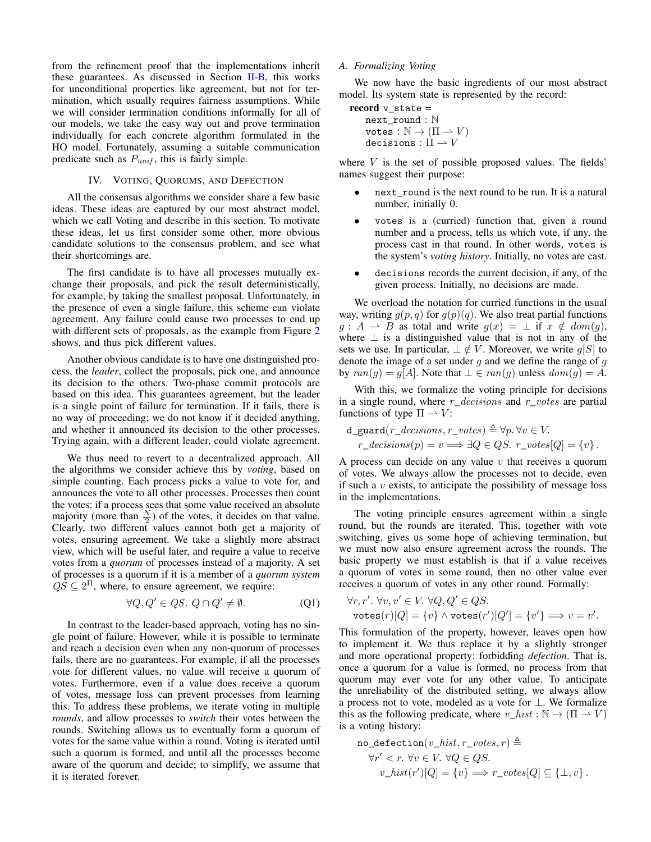from the refinement proof that the implementations inherit these guarantees. As discussed in Section [II-B,](#page-2-0) this works for unconditional properties like agreement, but not for termination, which usually requires fairness assumptions. While we will consider termination conditions informally for all of our models, we take the easy way out and prove termination individually for each concrete algorithm formulated in the HO model. Fortunately, assuming a suitable communication predicate such as  $P_{unif}$ , this is fairly simple.

## IV. VOTING, QUORUMS, AND DEFECTION

<span id="page-4-0"></span>All the consensus algorithms we consider share a few basic ideas. These ideas are captured by our most abstract model, which we call Voting and describe in this section. To motivate these ideas, let us first consider some other, more obvious candidate solutions to the consensus problem, and see what their shortcomings are.

The first candidate is to have all processes mutually exchange their proposals, and pick the result deterministically, for example, by taking the smallest proposal. Unfortunately, in the presence of even a single failure, this scheme can violate agreement. Any failure could cause two processes to end up with different sets of proposals, as the example from Figure [2](#page-3-1) shows, and thus pick different values.

Another obvious candidate is to have one distinguished process, the *leader*, collect the proposals, pick one, and announce its decision to the others. Two-phase commit protocols are based on this idea. This guarantees agreement, but the leader is a single point of failure for termination. If it fails, there is no way of proceeding; we do not know if it decided anything, and whether it announced its decision to the other processes. Trying again, with a different leader, could violate agreement.

We thus need to revert to a decentralized approach. All the algorithms we consider achieve this by *voting*, based on simple counting. Each process picks a value to vote for, and announces the vote to all other processes. Processes then count the votes: if a process sees that some value received an absolute majority (more than  $\frac{N}{2}$ ) of the votes, it decides on that value. Clearly, two different values cannot both get a majority of votes, ensuring agreement. We take a slightly more abstract view, which will be useful later, and require a value to receive votes from a *quorum* of processes instead of a majority. A set of processes is a quorum if it is a member of a *quorum system*  $Q\hat{S} \subseteq 2^{\Pi}$ , where, to ensure agreement, we require:

$$
\forall Q, Q' \in QS. \ Q \cap Q' \neq \emptyset. \tag{Q1}
$$

In contrast to the leader-based approach, voting has no single point of failure. However, while it is possible to terminate and reach a decision even when any non-quorum of processes fails, there are no guarantees. For example, if all the processes vote for different values, no value will receive a quorum of votes. Furthermore, even if a value does receive a quorum of votes, message loss can prevent processes from learning this. To address these problems, we iterate voting in multiple *rounds*, and allow processes to *switch* their votes between the rounds. Switching allows us to eventually form a quorum of votes for the same value within a round. Voting is iterated until such a quorum is formed, and until all the processes become aware of the quorum and decide; to simplify, we assume that it is iterated forever.

#### *A. Formalizing Voting*

We now have the basic ingredients of our most abstract model. Its system state is represented by the record:

```
record v state =
    next_round : N
    votes : \mathbb{N} \to (\Pi \to V)decisions : \Pi \rightharpoonup V
```
where  $V$  is the set of possible proposed values. The fields' names suggest their purpose:

- next\_round is the next round to be run. It is a natural number, initially 0.
- votes is a (curried) function that, given a round number and a process, tells us which vote, if any, the process cast in that round. In other words, votes is the system's *voting history*. Initially, no votes are cast.
- decisions records the current decision, if any, of the given process. Initially, no decisions are made.

We overload the notation for curried functions in the usual way, writing  $g(p, q)$  for  $g(p)(q)$ . We also treat partial functions  $g : A \rightharpoonup B$  as total and write  $g(x) = \bot$  if  $x \notin dom(g)$ , where  $\perp$  is a distinguished value that is not in any of the sets we use. In particular,  $\perp \notin V$ . Moreover, we write  $g[S]$  to denote the image of a set under  $g$  and we define the range of  $g$ by  $ran(g) = g[A]$ . Note that  $\bot \in ran(g)$  unless  $dom(g) = A$ .

With this, we formalize the voting principle for decisions in a single round, where  $r\_decisions$  and  $r\_votes$  are partial functions of type  $\Pi \rightharpoonup V$ :

$$
\begin{aligned}\n\text{d\_guard}(r\_decisions, r\_votes) &\stackrel{\triangle}{=} \forall p. \forall v \in V. \\
r\_decisions(p) &= v \Longrightarrow \exists Q \in QS. \ r\_votes[Q] = \{v\}.\n\end{aligned}
$$

A process can decide on any value  $v$  that receives a quorum of votes. We always allow the processes not to decide, even if such a  $v$  exists, to anticipate the possibility of message loss in the implementations.

The voting principle ensures agreement within a single round, but the rounds are iterated. This, together with vote switching, gives us some hope of achieving termination, but we must now also ensure agreement across the rounds. The basic property we must establish is that if a value receives a quorum of votes in some round, then no other value ever receives a quorum of votes in any other round. Formally:

<span id="page-4-1"></span>
$$
\forall r, r'. \ \forall v, v' \in V. \ \forall Q, Q' \in QS.
$$
  

$$
\mathsf{notes}(r)[Q] = \{v\} \land \mathsf{notes}(r')[Q'] = \{v'\} \Longrightarrow v = v'.
$$

This formulation of the property, however, leaves open how to implement it. We thus replace it by a slightly stronger and more operational property: forbidding *defection*. That is, once a quorum for a value is formed, no process from that quorum may ever vote for any other value. To anticipate the unreliability of the distributed setting, we always allow a process not to vote, modeled as a vote for ⊥. We formalize this as the following predicate, where  $v\_hist : \mathbb{N} \to (\Pi \to V)$ is a voting history:

$$
\text{no\_defection}(v\_hist, r\_votes, r) \triangleq
$$
  
\n
$$
\forall r' < r. \ \forall v \in V. \ \forall Q \in QS.
$$
  
\n
$$
v\_hist(r')[Q] = \{v\} \Longrightarrow r\_votes[Q] \subseteq \{\bot, v\}.
$$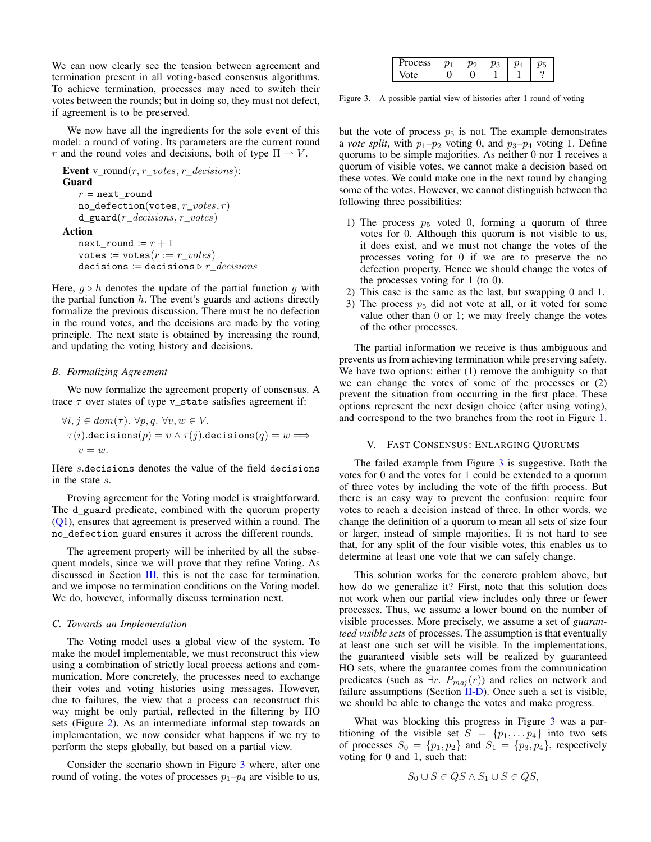We can now clearly see the tension between agreement and termination present in all voting-based consensus algorithms. To achieve termination, processes may need to switch their votes between the rounds; but in doing so, they must not defect, if agreement is to be preserved.

We now have all the ingredients for the sole event of this model: a round of voting. Its parameters are the current round r and the round votes and decisions, both of type  $\Pi \to V$ .

**Event** v\_round( $r, r\_votes, r\_decisions$ ): Guard  $r =$  next\_round  $no\_detection(votes, r\_votes, r)$ d\_guard $(r\_decisions, r\_votes)$ Action next round :=  $r + 1$ votes := votes $(r := r\;\; votes)$ decisions := decisions  $\triangleright$   $r\_decisions$ 

Here,  $q \triangleright h$  denotes the update of the partial function q with the partial function  $h$ . The event's guards and actions directly formalize the previous discussion. There must be no defection in the round votes, and the decisions are made by the voting principle. The next state is obtained by increasing the round, and updating the voting history and decisions.

## *B. Formalizing Agreement*

We now formalize the agreement property of consensus. A trace  $\tau$  over states of type v\_state satisfies agreement if:

$$
\forall i, j \in dom(\tau). \ \forall p, q. \ \forall v, w \in V.
$$

$$
\tau(i).decisions(p) = v \land \tau(j).decisions(q) = w \Longrightarrow
$$

$$
v = w.
$$

Here s.decisions denotes the value of the field decisions in the state s.

Proving agreement for the Voting model is straightforward. The d\_guard predicate, combined with the quorum property  $(Q1)$ , ensures that agreement is preserved within a round. The no\_defection guard ensures it across the different rounds.

The agreement property will be inherited by all the subsequent models, since we will prove that they refine Voting. As discussed in Section [III,](#page-3-0) this is not the case for termination, and we impose no termination conditions on the Voting model. We do, however, informally discuss termination next.

#### *C. Towards an Implementation*

The Voting model uses a global view of the system. To make the model implementable, we must reconstruct this view using a combination of strictly local process actions and communication. More concretely, the processes need to exchange their votes and voting histories using messages. However, due to failures, the view that a process can reconstruct this way might be only partial, reflected in the filtering by HO sets (Figure [2\)](#page-3-1). As an intermediate informal step towards an implementation, we now consider what happens if we try to perform the steps globally, but based on a partial view.

Consider the scenario shown in Figure [3](#page-5-0) where, after one round of voting, the votes of processes  $p_1-p_4$  are visible to us,

<span id="page-5-0"></span>

| Process |   |   | $n_{\Omega}$<br>e | $n-$ |
|---------|---|---|-------------------|------|
|         | U | v |                   |      |

Figure 3. A possible partial view of histories after 1 round of voting

but the vote of process  $p_5$  is not. The example demonstrates a *vote split*, with  $p_1-p_2$  voting 0, and  $p_3-p_4$  voting 1. Define quorums to be simple majorities. As neither 0 nor 1 receives a quorum of visible votes, we cannot make a decision based on these votes. We could make one in the next round by changing some of the votes. However, we cannot distinguish between the following three possibilities:

- 1) The process  $p_5$  voted 0, forming a quorum of three votes for 0. Although this quorum is not visible to us, it does exist, and we must not change the votes of the processes voting for 0 if we are to preserve the no defection property. Hence we should change the votes of the processes voting for 1 (to 0).
- 2) This case is the same as the last, but swapping 0 and 1.
- 3) The process  $p_5$  did not vote at all, or it voted for some value other than 0 or 1; we may freely change the votes of the other processes.

The partial information we receive is thus ambiguous and prevents us from achieving termination while preserving safety. We have two options: either (1) remove the ambiguity so that we can change the votes of some of the processes or (2) prevent the situation from occurring in the first place. These options represent the next design choice (after using voting), and correspond to the two branches from the root in Figure [1.](#page-1-0)

## V. FAST CONSENSUS: ENLARGING QUORUMS

The failed example from Figure  $\overline{3}$  $\overline{3}$  $\overline{3}$  is suggestive. Both the votes for 0 and the votes for 1 could be extended to a quorum of three votes by including the vote of the fifth process. But there is an easy way to prevent the confusion: require four votes to reach a decision instead of three. In other words, we change the definition of a quorum to mean all sets of size four or larger, instead of simple majorities. It is not hard to see that, for any split of the four visible votes, this enables us to determine at least one vote that we can safely change.

This solution works for the concrete problem above, but how do we generalize it? First, note that this solution does not work when our partial view includes only three or fewer processes. Thus, we assume a lower bound on the number of visible processes. More precisely, we assume a set of *guaranteed visible sets* of processes. The assumption is that eventually at least one such set will be visible. In the implementations, the guaranteed visible sets will be realized by guaranteed HO sets, where the guarantee comes from the communication predicates (such as  $\exists r$ .  $P_{maj}(r)$ ) and relies on network and failure assumptions (Section  $II-D$ ). Once such a set is visible, we should be able to change the votes and make progress.

What was blocking this progress in Figure [3](#page-5-0) was a partitioning of the visible set  $S = \{p_1, \ldots, p_4\}$  into two sets of processes  $S_0 = \{p_1, p_2\}$  and  $S_1 = \{p_3, p_4\}$ , respectively voting for 0 and 1, such that:

$$
S_0 \cup \overline{S} \in QS \wedge S_1 \cup \overline{S} \in QS,
$$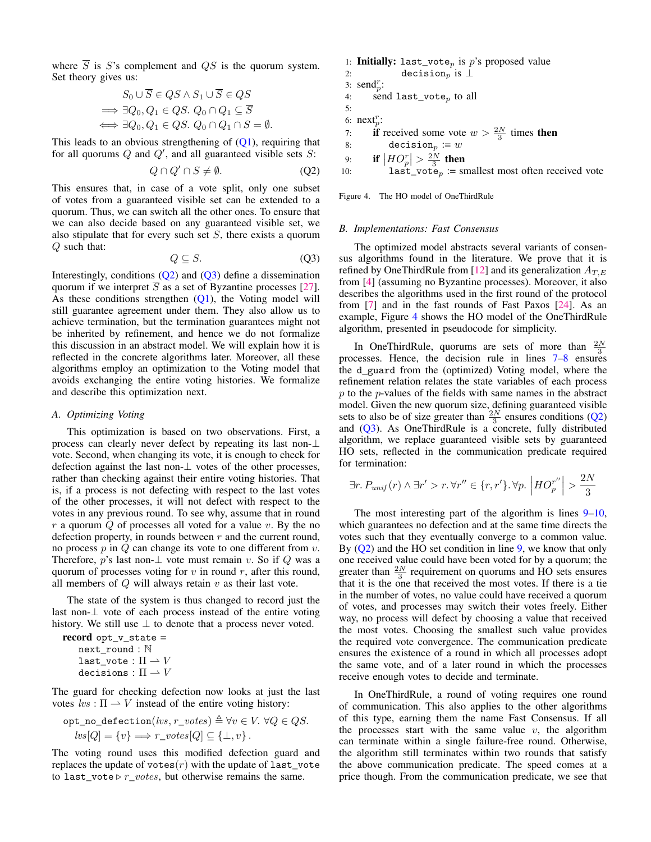where  $\overline{S}$  is S's complement and QS is the quorum system. Set theory gives us:

$$
S_0 \cup \overline{S} \in QS \land S_1 \cup \overline{S} \in QS
$$
  
\n
$$
\implies \exists Q_0, Q_1 \in QS. \ Q_0 \cap Q_1 \subseteq \overline{S}
$$
  
\n
$$
\iff \exists Q_0, Q_1 \in QS. \ Q_0 \cap Q_1 \cap S = \emptyset.
$$

This leads to an obvious strengthening of  $(Q_1)$ , requiring that for all quorums  $Q$  and  $Q'$ , and all guaranteed visible sets  $S$ :

$$
Q \cap Q' \cap S \neq \emptyset. \tag{Q2}
$$

This ensures that, in case of a vote split, only one subset of votes from a guaranteed visible set can be extended to a quorum. Thus, we can switch all the other ones. To ensure that we can also decide based on any guaranteed visible set, we also stipulate that for every such set  $S$ , there exists a quorum Q such that:

$$
Q \subseteq S. \tag{Q3}
$$

Interestingly, conditions  $(Q2)$  and  $(Q3)$  define a dissemination quorum if we interpret  $\overline{S}$  as a set of Byzantine processes [\[27\]](#page-11-34). As these conditions strengthen  $(Q1)$ , the Voting model will still guarantee agreement under them. They also allow us to achieve termination, but the termination guarantees might not be inherited by refinement, and hence we do not formalize this discussion in an abstract model. We will explain how it is reflected in the concrete algorithms later. Moreover, all these algorithms employ an optimization to the Voting model that avoids exchanging the entire voting histories. We formalize and describe this optimization next.

### *A. Optimizing Voting*

This optimization is based on two observations. First, a process can clearly never defect by repeating its last non-⊥ vote. Second, when changing its vote, it is enough to check for defection against the last non-⊥ votes of the other processes, rather than checking against their entire voting histories. That is, if a process is not defecting with respect to the last votes of the other processes, it will not defect with respect to the votes in any previous round. To see why, assume that in round  $r$  a quorum  $Q$  of processes all voted for a value  $v$ . By the no defection property, in rounds between  $r$  and the current round, no process  $p$  in  $Q$  can change its vote to one different from  $v$ . Therefore, p's last non- $\perp$  vote must remain v. So if Q was a quorum of processes voting for  $v$  in round  $r$ , after this round, all members of  $Q$  will always retain  $v$  as their last vote.

The state of the system is thus changed to record just the last non-⊥ vote of each process instead of the entire voting history. We still use  $\perp$  to denote that a process never voted.

```
record opt_v_state =
    next_round : N
    last_vote : \Pi \rightharpoonup Vdecisions : \Pi \rightharpoonup V
```
The guard for checking defection now looks at just the last votes  $\text{ln} \cdot \Pi \rightarrow V$  instead of the entire voting history:

$$
\begin{aligned}\n\text{opt\_no\_defection}(lvs, r\_votes) &\stackrel{\Delta}{=} \forall v \in V. \ \forall Q \in QS. \\
\text{lvs}[Q] &= \{v\} \Longrightarrow r\_votes[Q] \subseteq \{\bot, v\}.\n\end{aligned}
$$

The voting round uses this modified defection guard and replaces the update of votes $(r)$  with the update of last\_vote to last\_vote  $\triangleright$  r\_votes, but otherwise remains the same.

```
1: Initially: last_vote<sub>p</sub> is p's proposed value
2: decision<sub>p</sub> is \perp3: \text{send}_p^r:
4: send last_vote<sub>p</sub> to all
5:
 6: next_p^r:
 7: if received some vote w > \frac{2N}{3} times then
8: decision_p := w9: if \left| H O_p^r \right| > \frac{2N}{3} then
10: last_vote<sub>p</sub> := smallest most often received vote
```
<span id="page-6-1"></span><span id="page-6-0"></span>Figure 4. The HO model of OneThirdRule

#### <span id="page-6-2"></span>*B. Implementations: Fast Consensus*

The optimized model abstracts several variants of consensus algorithms found in the literature. We prove that it is refined by OneThirdRule from [\[12\]](#page-11-10) and its generalization  $A_{T,E}$ from [\[4\]](#page-11-27) (assuming no Byzantine processes). Moreover, it also describes the algorithms used in the first round of the protocol from [\[7\]](#page-11-35) and in the fast rounds of Fast Paxos [\[24\]](#page-11-36). As an example, Figure [4](#page-6-1) shows the HO model of the OneThirdRule algorithm, presented in pseudocode for simplicity.

In OneThirdRule, quorums are sets of more than  $\frac{2N}{3}$ processes. Hence, the decision rule in lines [7–8](#page-6-2) ensures the d\_guard from the (optimized) Voting model, where the refinement relation relates the state variables of each process  $p$  to the  $p$ -values of the fields with same names in the abstract model. Given the new quorum size, defining guaranteed visible sets to also be of size greater than  $\frac{2N}{3}$  ensures conditions [\(Q2\)](#page-6-0) and  $(Q3)$ . As OneThirdRule is a concrete, fully distributed algorithm, we replace guaranteed visible sets by guaranteed HO sets, reflected in the communication predicate required for termination:

$$
\exists r. P_{unif}(r) \land \exists r' > r. \forall r'' \in \{r, r'\}. \forall p. \left| HO_p^{r''} \right| > \frac{2N}{3}
$$

The most interesting part of the algorithm is lines  $9-10$ , which guarantees no defection and at the same time directs the votes such that they eventually converge to a common value. By  $(Q2)$  and the HO set condition in line [9,](#page-6-2) we know that only one received value could have been voted for by a quorum; the greater than  $\frac{2N}{3}$  requirement on quorums and HO sets ensures that it is the one that received the most votes. If there is a tie in the number of votes, no value could have received a quorum of votes, and processes may switch their votes freely. Either way, no process will defect by choosing a value that received the most votes. Choosing the smallest such value provides the required vote convergence. The communication predicate ensures the existence of a round in which all processes adopt the same vote, and of a later round in which the processes receive enough votes to decide and terminate.

In OneThirdRule, a round of voting requires one round of communication. This also applies to the other algorithms of this type, earning them the name Fast Consensus. If all the processes start with the same value  $v$ , the algorithm can terminate within a single failure-free round. Otherwise, the algorithm still terminates within two rounds that satisfy the above communication predicate. The speed comes at a price though. From the communication predicate, we see that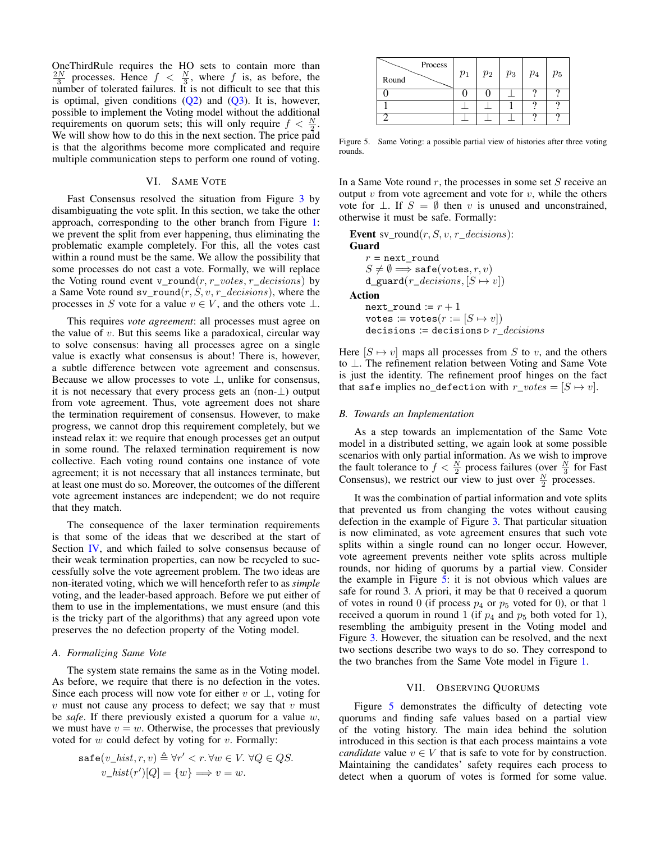OneThirdRule requires the HO sets to contain more than  $\frac{2N}{3}$  processes. Hence  $f < \frac{N}{3}$ , where f is, as before, the number of tolerated failures. It is not difficult to see that this is optimal, given conditions  $(Q2)$  and  $(Q3)$ . It is, however, possible to implement the Voting model without the additional requirements on quorum sets; this will only require  $f < \frac{N}{2}$ . We will show how to do this in the next section. The price paid is that the algorithms become more complicated and require multiple communication steps to perform one round of voting.

## VI. SAME VOTE

Fast Consensus resolved the situation from Figure [3](#page-5-0) by disambiguating the vote split. In this section, we take the other approach, corresponding to the other branch from Figure [1:](#page-1-0) we prevent the split from ever happening, thus eliminating the problematic example completely. For this, all the votes cast within a round must be the same. We allow the possibility that some processes do not cast a vote. Formally, we will replace the Voting round event v\_round( $r, r\_votes, r\_decisions$ ) by a Same Vote round  $sv\_round(r, S, v, r\_decisions)$ , where the processes in S vote for a value  $v \in V$ , and the others vote  $\bot$ .

This requires *vote agreement*: all processes must agree on the value of  $v$ . But this seems like a paradoxical, circular way to solve consensus: having all processes agree on a single value is exactly what consensus is about! There is, however, a subtle difference between vote agreement and consensus. Because we allow processes to vote  $\bot$ , unlike for consensus, it is not necessary that every process gets an (non-⊥) output from vote agreement. Thus, vote agreement does not share the termination requirement of consensus. However, to make progress, we cannot drop this requirement completely, but we instead relax it: we require that enough processes get an output in some round. The relaxed termination requirement is now collective. Each voting round contains one instance of vote agreement; it is not necessary that all instances terminate, but at least one must do so. Moreover, the outcomes of the different vote agreement instances are independent; we do not require that they match.

The consequence of the laxer termination requirements is that some of the ideas that we described at the start of Section [IV,](#page-4-0) and which failed to solve consensus because of their weak termination properties, can now be recycled to successfully solve the vote agreement problem. The two ideas are non-iterated voting, which we will henceforth refer to as *simple* voting, and the leader-based approach. Before we put either of them to use in the implementations, we must ensure (and this is the tricky part of the algorithms) that any agreed upon vote preserves the no defection property of the Voting model.

#### *A. Formalizing Same Vote*

The system state remains the same as in the Voting model. As before, we require that there is no defection in the votes. Since each process will now vote for either v or  $\perp$ , voting for  $v$  must not cause any process to defect; we say that  $v$  must be *safe*. If there previously existed a quorum for a value w, we must have  $v = w$ . Otherwise, the processes that previously voted for  $w$  could defect by voting for  $v$ . Formally:

$$
\begin{aligned} \texttt{safe}(v\_hist, r, v) \triangleq \forall r' < r. \forall w \in V. \ \forall Q \in QS.\\ v\_hist(r')[Q] &= \{w\} \Longrightarrow v = w. \end{aligned}
$$

| Process |       |       |       |       |         |
|---------|-------|-------|-------|-------|---------|
| Round   | $p_1$ | $p_2$ | $p_3$ | $p_4$ | $p_{5}$ |
|         |       |       |       |       |         |
|         |       |       |       |       | c       |
|         |       |       |       |       | ↶       |

<span id="page-7-0"></span>Figure 5. Same Voting: a possible partial view of histories after three voting rounds.

In a Same Vote round  $r$ , the processes in some set  $S$  receive an output  $v$  from vote agreement and vote for  $v$ , while the others vote for  $\bot$ . If  $S = \emptyset$  then v is unused and unconstrained, otherwise it must be safe. Formally:

Event sv\_round $(r, S, v, r\_decisions)$ : Guard  $r =$  next\_round  $S \neq \emptyset \Longrightarrow$  safe(votes,  $r, v$ ) d\_guard( $r\_decisions$ ,  $[S \mapsto v]$ ) Action next\_round :=  $r + 1$ votes := votes $(r := [S \mapsto v])$ decisions := decisions  $\triangleright r\_decisions$ 

Here  $[S \mapsto v]$  maps all processes from S to v, and the others to ⊥. The refinement relation between Voting and Same Vote is just the identity. The refinement proof hinges on the fact that safe implies no\_defection with  $r\_votes = [S \mapsto v]$ .

## *B. Towards an Implementation*

As a step towards an implementation of the Same Vote model in a distributed setting, we again look at some possible scenarios with only partial information. As we wish to improve the fault tolerance to  $f < \frac{N}{2}$  process failures (over  $\frac{N}{3}$  for Fast Consensus), we restrict our view to just over  $\frac{N}{2}$  processes.

It was the combination of partial information and vote splits that prevented us from changing the votes without causing defection in the example of Figure [3.](#page-5-0) That particular situation is now eliminated, as vote agreement ensures that such vote splits within a single round can no longer occur. However, vote agreement prevents neither vote splits across multiple rounds, nor hiding of quorums by a partial view. Consider the example in Figure [5:](#page-7-0) it is not obvious which values are safe for round 3. A priori, it may be that 0 received a quorum of votes in round 0 (if process  $p_4$  or  $p_5$  voted for 0), or that 1 received a quorum in round 1 (if  $p_4$  and  $p_5$  both voted for 1), resembling the ambiguity present in the Voting model and Figure [3.](#page-5-0) However, the situation can be resolved, and the next two sections describe two ways to do so. They correspond to the two branches from the Same Vote model in Figure [1.](#page-1-0)

### VII. OBSERVING QUORUMS

Figure [5](#page-7-0) demonstrates the difficulty of detecting vote quorums and finding safe values based on a partial view of the voting history. The main idea behind the solution introduced in this section is that each process maintains a vote *candidate* value  $v \in V$  that is safe to vote for by construction. Maintaining the candidates' safety requires each process to detect when a quorum of votes is formed for some value.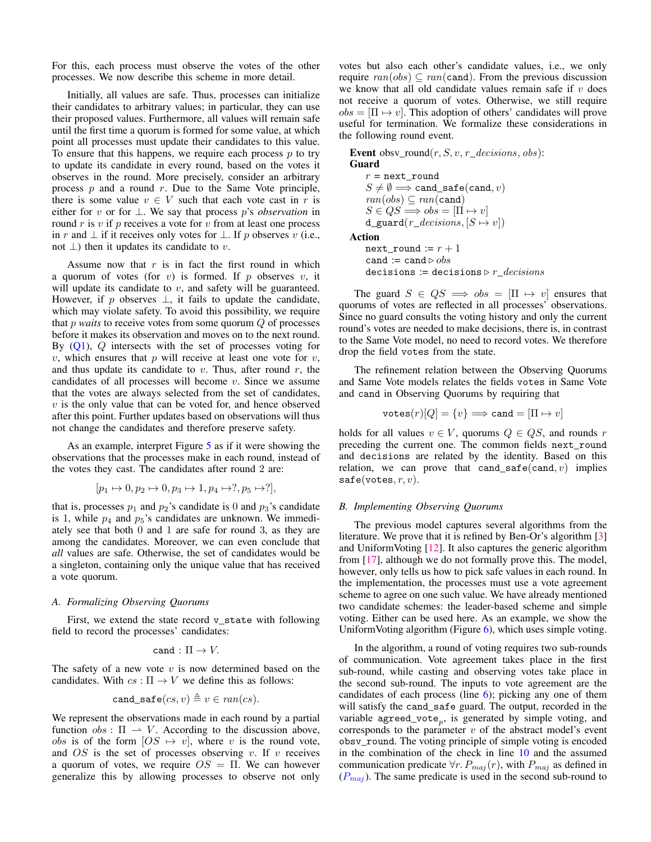For this, each process must observe the votes of the other processes. We now describe this scheme in more detail.

Initially, all values are safe. Thus, processes can initialize their candidates to arbitrary values; in particular, they can use their proposed values. Furthermore, all values will remain safe until the first time a quorum is formed for some value, at which point all processes must update their candidates to this value. To ensure that this happens, we require each process  $p$  to try to update its candidate in every round, based on the votes it observes in the round. More precisely, consider an arbitrary process  $p$  and a round  $r$ . Due to the Same Vote principle, there is some value  $v \in V$  such that each vote cast in r is either for v or for ⊥. We say that process p's *observation* in round  $r$  is  $v$  if  $p$  receives a vote for  $v$  from at least one process in r and  $\perp$  if it receives only votes for  $\perp$ . If p observes v (i.e., not  $\perp$ ) then it updates its candidate to v.

Assume now that  $r$  is in fact the first round in which a quorum of votes (for  $v$ ) is formed. If p observes  $v$ , it will update its candidate to  $v$ , and safety will be guaranteed. However, if p observes  $\perp$ , it fails to update the candidate, which may violate safety. To avoid this possibility, we require that p *waits* to receive votes from some quorum Q of processes before it makes its observation and moves on to the next round. By  $(Q1)$ ,  $Q$  intersects with the set of processes voting for  $v$ , which ensures that  $p$  will receive at least one vote for  $v$ , and thus update its candidate to  $v$ . Thus, after round  $r$ , the candidates of all processes will become  $v$ . Since we assume that the votes are always selected from the set of candidates,  $v$  is the only value that can be voted for, and hence observed after this point. Further updates based on observations will thus not change the candidates and therefore preserve safety.

As an example, interpret Figure [5](#page-7-0) as if it were showing the observations that the processes make in each round, instead of the votes they cast. The candidates after round 2 are:

$$
[p_1 \mapsto 0, p_2 \mapsto 0, p_3 \mapsto 1, p_4 \mapsto ?, p_5 \mapsto ?],
$$

that is, processes  $p_1$  and  $p_2$ 's candidate is 0 and  $p_3$ 's candidate is 1, while  $p_4$  and  $p_5$ 's candidates are unknown. We immediately see that both 0 and 1 are safe for round 3, as they are among the candidates. Moreover, we can even conclude that *all* values are safe. Otherwise, the set of candidates would be a singleton, containing only the unique value that has received a vote quorum.

#### *A. Formalizing Observing Quorums*

First, we extend the state record v\_state with following field to record the processes' candidates:

$$
cand: \Pi \to V.
$$

The safety of a new vote  $v$  is now determined based on the candidates. With  $cs : \Pi \rightarrow V$  we define this as follows:

$$
\mathtt{cand\_safe}(cs, v) \triangleq v \in ran(cs).
$$

We represent the observations made in each round by a partial function  $obs : \Pi \rightarrow V$ . According to the discussion above, *obs* is of the form  $[OS \mapsto v]$ , where v is the round vote, and  $OS$  is the set of processes observing v. If v receives a quorum of votes, we require  $OS = \Pi$ . We can however generalize this by allowing processes to observe not only

votes but also each other's candidate values, i.e., we only require  $ran(obs) \subseteq ran(cand)$ . From the previous discussion we know that all old candidate values remain safe if  $v$  does not receive a quorum of votes. Otherwise, we still require  $obs = [\Pi \mapsto v]$ . This adoption of others' candidates will prove useful for termination. We formalize these considerations in the following round event.

Event obsv\_round $(r, S, v, r\_decisions, obs)$ : Guard  $r =$  next\_round  $S\neq\emptyset\Longrightarrow$  cand\_safe(cand,  $v)$  $ran(obs) \subseteq ran(cand)$  $S \in QS \Longrightarrow obs = [\Pi \mapsto v]$ d\_guard( $r\_decisions$ ,  $[S \mapsto v]$ ) Action next round :=  $r + 1$ cand := cand  $\triangleright$  *obs* decisions := decisions  $\triangleright r$  decisions

The guard  $S \in QS \implies obs = [\Pi \mapsto v]$  ensures that quorums of votes are reflected in all processes' observations. Since no guard consults the voting history and only the current round's votes are needed to make decisions, there is, in contrast to the Same Vote model, no need to record votes. We therefore drop the field votes from the state.

The refinement relation between the Observing Quorums and Same Vote models relates the fields votes in Same Vote and cand in Observing Quorums by requiring that

$$
\mathsf{notes}(r)[Q] = \{v\} \Longrightarrow \mathtt{cand} = [\Pi \mapsto v]
$$

holds for all values  $v \in V$ , quorums  $Q \in QS$ , and rounds r preceding the current one. The common fields next\_round and decisions are related by the identity. Based on this relation, we can prove that cand\_safe(cand, v) implies  $\texttt{safe}( \texttt{votes}, r, v).$ 

#### <span id="page-8-0"></span>*B. Implementing Observing Quorums*

The previous model captures several algorithms from the literature. We prove that it is refined by Ben-Or's algorithm [\[3\]](#page-11-28) and UniformVoting [\[12\]](#page-11-10). It also captures the generic algorithm from [\[17\]](#page-11-13), although we do not formally prove this. The model, however, only tells us how to pick safe values in each round. In the implementation, the processes must use a vote agreement scheme to agree on one such value. We have already mentioned two candidate schemes: the leader-based scheme and simple voting. Either can be used here. As an example, we show the UniformVoting algorithm (Figure [6\)](#page-9-1), which uses simple voting.

In the algorithm, a round of voting requires two sub-rounds of communication. Vote agreement takes place in the first sub-round, while casting and observing votes take place in the second sub-round. The inputs to vote agreement are the candidates of each process (line [6\)](#page-8-0); picking any one of them will satisfy the cand\_safe guard. The output, recorded in the variable agreed\_vote $_p$ , is generated by simple voting, and corresponds to the parameter  $v$  of the abstract model's event obsv\_round. The voting principle of simple voting is encoded in the combination of the check in line [10](#page-8-0) and the assumed communication predicate  $\forall r. P_{maj}(r)$ , with  $P_{maj}$  as defined in  $(P_{maj})$  $(P_{maj})$  $(P_{maj})$ . The same predicate is used in the second sub-round to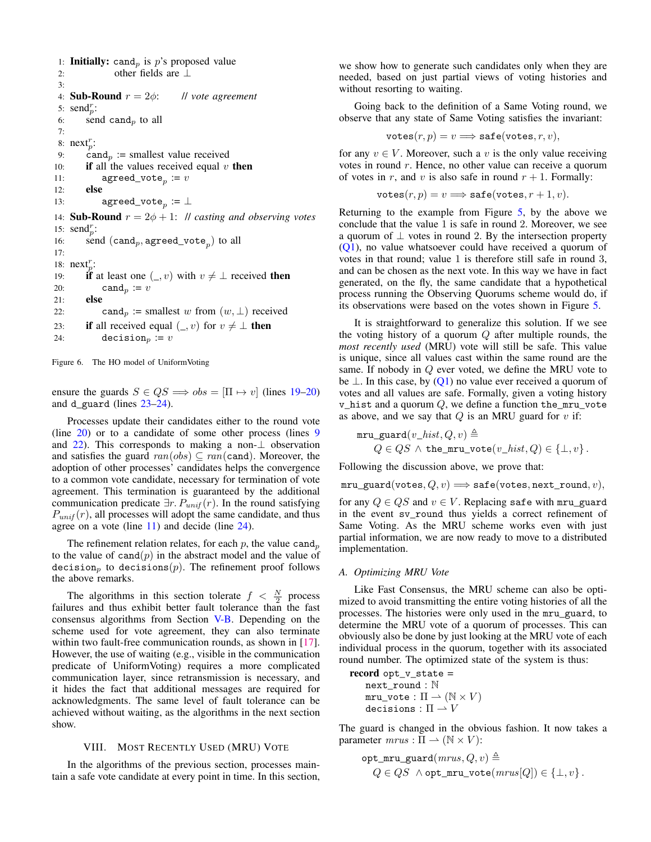```
1: Initially: cand<sub>p</sub> is p's proposed value
 2: other fields are ⊥
 3:
 4: Sub-Round r = 2\phi: // vote agreement
 5: send_{p}^{r}:
 6: send cand<sub>p</sub> to all
 7:
 8: next_p^r:
 9: cand<sub>p</sub> := smallest value received
10: if all the values received equal v then
11: agreed_vote<sub>p</sub> := v
12: else
13: agreed_vote<sub>p</sub> := \perp14: Sub-Round r = 2\phi + 1: // casting and observing votes
15: \text{send}_p^r:
16: send (\text{cand}_p, \text{agreed\_vote}_p) to all
17:
18: next_p^r:
19: if at least one (, v) with v \neq \perp received then
20: cand<sub>p</sub> := v21: else
22: cand<sub>n</sub> := smallest w from (w, \perp) received
23: if all received equal (\_, v) for v \neq \bot then
24: decision<sub>n</sub> := v
```
<span id="page-9-1"></span>Figure 6. The HO model of UniformVoting

ensure the guards  $S \in QS \Longrightarrow obs = [\Pi \mapsto v]$  (lines [19–20\)](#page-8-0) and d\_guard (lines [23–24\)](#page-8-0).

Processes update their candidates either to the round vote (line [20\)](#page-8-0) or to a candidate of some other process (lines [9](#page-8-0) and [22\)](#page-8-0). This corresponds to making a non- $\perp$  observation and satisfies the guard  $ran(obs) \subseteq ran(cand)$ . Moreover, the adoption of other processes' candidates helps the convergence to a common vote candidate, necessary for termination of vote agreement. This termination is guaranteed by the additional communication predicate  $\exists r. P_{unif}(r)$ . In the round satisfying  $P_{unif}(r)$ , all processes will adopt the same candidate, and thus agree on a vote (line [11\)](#page-8-0) and decide (line [24\)](#page-8-0).

The refinement relation relates, for each  $p$ , the value cand<sub>p</sub> to the value of  $cand(p)$  in the abstract model and the value of decision<sub>p</sub> to decisions(p). The refinement proof follows the above remarks.

The algorithms in this section tolerate  $f < \frac{N}{2}$  process failures and thus exhibit better fault tolerance than the fast consensus algorithms from Section [V-B.](#page-6-2) Depending on the scheme used for vote agreement, they can also terminate within two fault-free communication rounds, as shown in [\[17\]](#page-11-13). However, the use of waiting (e.g., visible in the communication predicate of UniformVoting) requires a more complicated communication layer, since retransmission is necessary, and it hides the fact that additional messages are required for acknowledgments. The same level of fault tolerance can be achieved without waiting, as the algorithms in the next section show.

## VIII. MOST RECENTLY USED (MRU) VOTE

<span id="page-9-0"></span>In the algorithms of the previous section, processes maintain a safe vote candidate at every point in time. In this section, we show how to generate such candidates only when they are needed, based on just partial views of voting histories and without resorting to waiting.

Going back to the definition of a Same Voting round, we observe that any state of Same Voting satisfies the invariant:

$$
\mathtt{votes}(r,p) = v \Longrightarrow \mathtt{safe}(\mathtt{votes}, r, v),
$$

for any  $v \in V$ . Moreover, such a v is the only value receiving votes in round r. Hence, no other value can receive a quorum of votes in r, and v is also safe in round  $r + 1$ . Formally:

$$
\mathtt{votes}(r,p) = v \Longrightarrow \mathtt{safe}(\mathtt{votes}, r+1, v).
$$

Returning to the example from Figure [5,](#page-7-0) by the above we conclude that the value 1 is safe in round 2. Moreover, we see a quorum of  $\perp$  votes in round 2. By the intersection property [\(Q1\)](#page-4-1), no value whatsoever could have received a quorum of votes in that round; value 1 is therefore still safe in round 3, and can be chosen as the next vote. In this way we have in fact generated, on the fly, the same candidate that a hypothetical process running the Observing Quorums scheme would do, if its observations were based on the votes shown in Figure [5.](#page-7-0)

It is straightforward to generalize this solution. If we see the voting history of a quorum  $Q$  after multiple rounds, the *most recently used* (MRU) vote will still be safe. This value is unique, since all values cast within the same round are the same. If nobody in Q ever voted, we define the MRU vote to be  $\perp$ . In this case, by [\(Q1\)](#page-4-1) no value ever received a quorum of votes and all values are safe. Formally, given a voting history v\_hist and a quorum  $Q$ , we define a function the\_mru\_vote as above, and we say that  $Q$  is an MRU guard for  $v$  if:

$$
\begin{array}{l}\n\texttt{mru\_guard}(v\_hist, Q, v) \triangleq \\
Q \in QS \land \texttt{the\_mru\_vote}(v\_hist, Q) \in \{\bot, v\}.\n\end{array}
$$

Following the discussion above, we prove that:

 $mru\_guard(votes, Q, v) \Longrightarrow safe(votes, next\_round, v),$ 

for any  $Q \in QS$  and  $v \in V$ . Replacing safe with mru\_guard in the event sv\_round thus yields a correct refinement of Same Voting. As the MRU scheme works even with just partial information, we are now ready to move to a distributed implementation.

## *A. Optimizing MRU Vote*

Like Fast Consensus, the MRU scheme can also be optimized to avoid transmitting the entire voting histories of all the processes. The histories were only used in the mru\_guard, to determine the MRU vote of a quorum of processes. This can obviously also be done by just looking at the MRU vote of each individual process in the quorum, together with its associated round number. The optimized state of the system is thus:

```
record opt_v_state =
    next_round : N
    mru\_vote : \Pi \rightarrow (\mathbb{N} \times V)decisions : \Pi \rightharpoonup V
```
The guard is changed in the obvious fashion. It now takes a parameter  $mrus : \Pi \rightarrow (\mathbb{N} \times V)$ :

$$
\mathtt{opt\_mru\_guard}(mrus, Q, v) \triangleq
$$
  

$$
Q \in QS \ \land \mathtt{opt\_mru\_vote}(mrus[Q]) \in \{\bot, v\}.
$$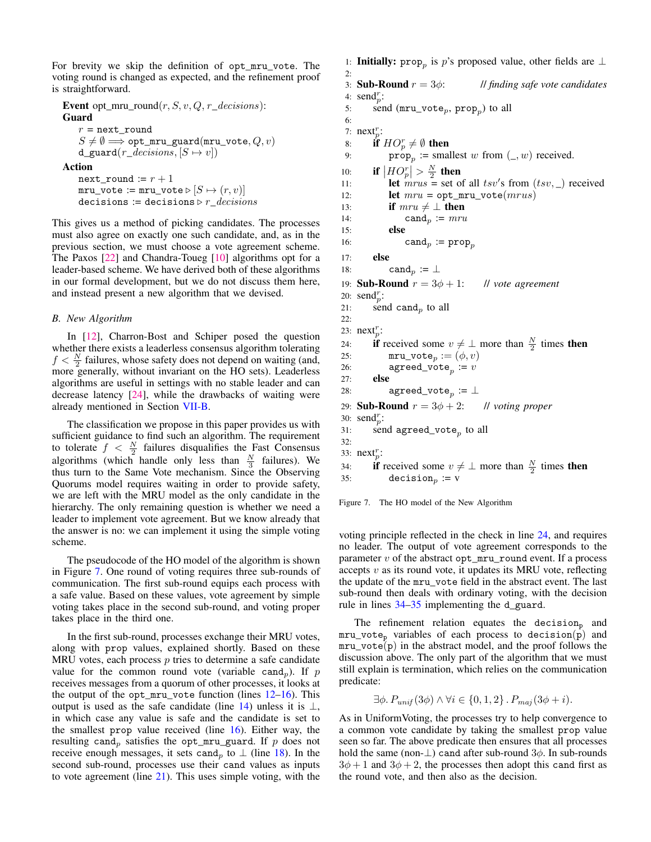For brevity we skip the definition of opt\_mru\_vote. The voting round is changed as expected, and the refinement proof is straightforward.

```
Event opt_mru_round(r, S, v, Q, r\_decisions):
Guard
    r =next_round
    S \neq \emptyset \Longrightarrow \small{\mathsf{opt\_mru\_guard(mru\_vote}, Q, v)}d_guard(r\_decisions, [S \mapsto v])
Action
    next\_round := r + 1mru\_vote := mru\_vote \triangleright [S \mapsto (r, v)]decisions := decisions \triangleright r decisions
```
This gives us a method of picking candidates. The processes must also agree on exactly one such candidate, and, as in the previous section, we must choose a vote agreement scheme. The Paxos [\[22\]](#page-11-9) and Chandra-Toueg [\[10\]](#page-11-29) algorithms opt for a leader-based scheme. We have derived both of these algorithms in our formal development, but we do not discuss them here, and instead present a new algorithm that we devised.

# <span id="page-10-1"></span>*B. New Algorithm*

In [\[12\]](#page-11-10), Charron-Bost and Schiper posed the question whether there exists a leaderless consensus algorithm tolerating  $f < \frac{N}{2}$  failures, whose safety does not depend on waiting (and, more generally, without invariant on the HO sets). Leaderless algorithms are useful in settings with no stable leader and can decrease latency [\[24\]](#page-11-36), while the drawbacks of waiting were already mentioned in Section [VII-B.](#page-8-0)

The classification we propose in this paper provides us with sufficient guidance to find such an algorithm. The requirement to tolerate  $f < \frac{N}{2}$  failures disqualifies the Fast Consensus algorithms (which handle only less than  $\frac{N}{3}$  failures). We thus turn to the Same Vote mechanism. Since the Observing Quorums model requires waiting in order to provide safety, we are left with the MRU model as the only candidate in the hierarchy. The only remaining question is whether we need a leader to implement vote agreement. But we know already that the answer is no: we can implement it using the simple voting scheme.

The pseudocode of the HO model of the algorithm is shown in Figure [7.](#page-10-0) One round of voting requires three sub-rounds of communication. The first sub-round equips each process with a safe value. Based on these values, vote agreement by simple voting takes place in the second sub-round, and voting proper takes place in the third one.

In the first sub-round, processes exchange their MRU votes, along with prop values, explained shortly. Based on these MRU votes, each process  $p$  tries to determine a safe candidate value for the common round vote (variable cand<sub>n</sub>). If p receives messages from a quorum of other processes, it looks at the output of the opt\_mru\_vote function (lines  $12-16$ ). This output is used as the safe candidate (line [14\)](#page-10-1) unless it is  $\perp$ , in which case any value is safe and the candidate is set to the smallest prop value received (line [16\)](#page-10-1). Either way, the resulting cand<sub>p</sub> satisfies the opt\_mru\_guard. If  $p$  does not receive enough messages, it sets cand<sub>p</sub> to  $\perp$  (line [18\)](#page-10-1). In the second sub-round, processes use their cand values as inputs to vote agreement (line [21\)](#page-10-1). This uses simple voting, with the

1: **Initially:** prop<sub>p</sub> is p's proposed value, other fields are  $\perp$  $2$ : 3: **Sub-Round**  $r = 3\phi$ : // *finding safe vote candidates* 4:  $\text{send}_p^r$ : 5: send (mru\_vote<sub>p</sub>, prop<sub>p</sub>) to all 6: 7:  $next_p^r$ : 8: if  $HO_p^r \neq \emptyset$  then 9: prop<sub>p</sub> := smallest w from  $(\_, w)$  received.  $10:$  $\left| HO_p^r \right| > \frac{N}{2}$  then 11: **let**  $\lim_{m \to \infty} \frac{1}{m}$  set of all  $tsv$ 's from  $(tsv, \_)$  received 12: **let**  $mru = opt\_mru\_vote(mrus)$ 13: **if**  $mru \neq \perp$  **then** 14: cand<sub>p</sub> :=  $mru$ 15: else 16: cand<sub>p</sub> :=  $prop_p$ 17: else 18: cand<sub>p</sub> :=  $\perp$ 19: **Sub-Round**  $r = 3\phi + 1$ : // *vote agreement* 20:  $\text{send}_p^r$ : 21: send cand<sub>n</sub> to all 22: 23:  $next_p^r$ : 24: if received some  $v \neq \perp$  more than  $\frac{N}{2}$  times then 25: mru\_vote<sub>p</sub> :=  $(\phi, v)$ 26: agreed\_vote $_p := v$ 27: else 28: **agreed\_vote**<sub>p</sub> :=  $\perp$ 29: **Sub-Round**  $r = 3\phi + 2$ : // *voting proper* 30:  $\text{send}_p^r$ : 31: send agreed\_vote<sub>p</sub> to all 32: 33:  $next_p^r$ : 34: if received some  $v \neq \perp$  more than  $\frac{N}{2}$  times then 35: decision<sub>p</sub> :=  $v$ 

<span id="page-10-0"></span>Figure 7. The HO model of the New Algorithm

voting principle reflected in the check in line [24,](#page-10-1) and requires no leader. The output of vote agreement corresponds to the parameter  $v$  of the abstract opt\_mru\_round event. If a process accepts  $v$  as its round vote, it updates its MRU vote, reflecting the update of the mru\_vote field in the abstract event. The last sub-round then deals with ordinary voting, with the decision rule in lines [34–35](#page-10-1) implementing the d\_guard.

The refinement relation equates the decision<sub>p</sub> and  $mru\_vote_p$  variables of each process to decision(p) and  $mru_vote(p)$  in the abstract model, and the proof follows the discussion above. The only part of the algorithm that we must still explain is termination, which relies on the communication predicate:

$$
\exists \phi. P_{unif}(3\phi) \land \forall i \in \{0, 1, 2\}. P_{maj}(3\phi + i).
$$

As in UniformVoting, the processes try to help convergence to a common vote candidate by taking the smallest prop value seen so far. The above predicate then ensures that all processes hold the same (non- $\perp$ ) cand after sub-round  $3\phi$ . In sub-rounds  $3\phi + 1$  and  $3\phi + 2$ , the processes then adopt this cand first as the round vote, and then also as the decision.